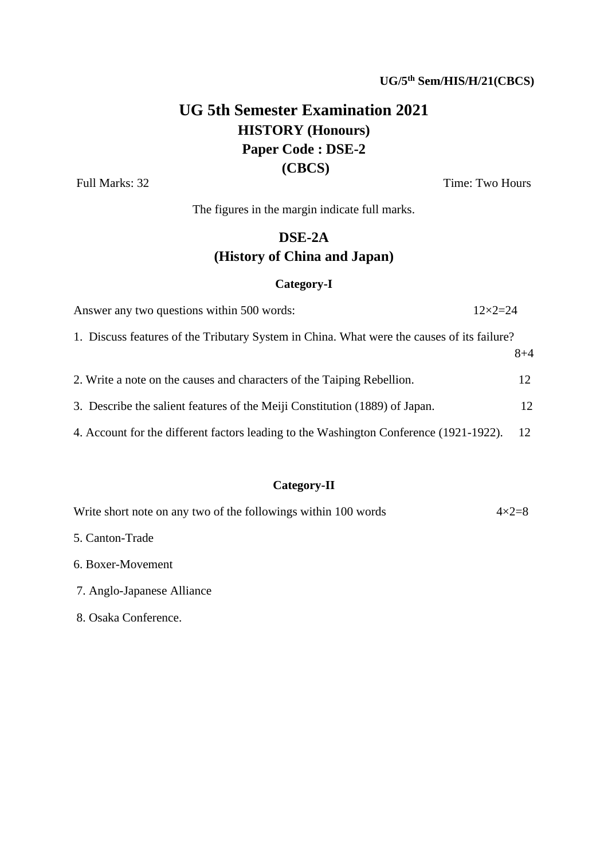# **UG 5th Semester Examination 2021 HISTORY (Honours) Paper Code : DSE-2 (CBCS)**

Full Marks: 32 Time: Two Hours

The figures in the margin indicate full marks.

# **DSE-2A (History of China and Japan)**

### **Category-I**

| Answer any two questions within 500 words:                                                 | $12\times2=24$ |
|--------------------------------------------------------------------------------------------|----------------|
| 1. Discuss features of the Tributary System in China. What were the causes of its failure? |                |
|                                                                                            | $8 + 4$        |
| 2. Write a note on the causes and characters of the Taiping Rebellion.                     | 12             |
| 3. Describe the salient features of the Meiji Constitution (1889) of Japan.                | 12             |
| 4. Account for the different factors leading to the Washington Conference (1921-1922).     | 12             |

## **Category-II**

| Write short note on any two of the followings within 100 words | $4\times2=8$ |
|----------------------------------------------------------------|--------------|
| 5. Canton-Trade                                                |              |
| 6. Boxer-Movement                                              |              |
| 7. Anglo-Japanese Alliance                                     |              |
| 8. Osaka Conference.                                           |              |